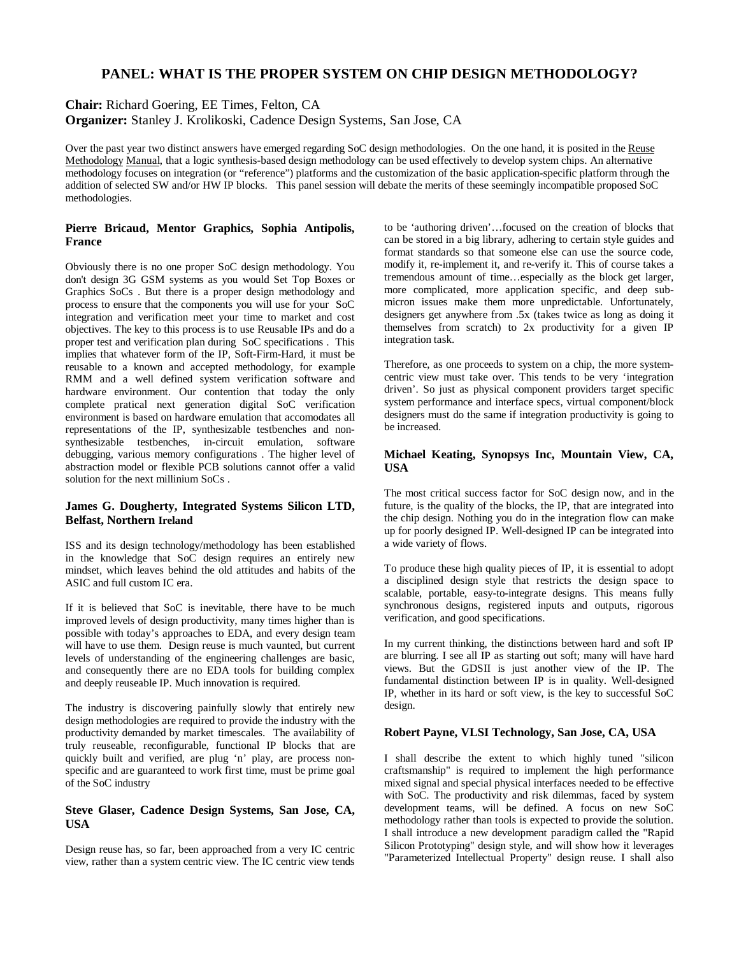# **PANEL: WHAT IS THE PROPER SYSTEM ON CHIP DESIGN METHODOLOGY?**

**Chair:** Richard Goering, EE Times, Felton, CA

**Organizer:** Stanley J. Krolikoski, Cadence Design Systems, San Jose, CA

Over the past year two distinct answers have emerged regarding SoC design methodologies. On the one hand, it is posited in the Reuse Methodology Manual, that a logic synthesis-based design methodology can be used effectively to develop system chips. An alternative methodology focuses on integration (or "reference") platforms and the customization of the basic application-specific platform through the addition of selected SW and/or HW IP blocks. This panel session will debate the merits of these seemingly incompatible proposed SoC methodologies.

## **Pierre Bricaud, Mentor Graphics, Sophia Antipolis, France**

Obviously there is no one proper SoC design methodology. You don't design 3G GSM systems as you would Set Top Boxes or Graphics SoCs . But there is a proper design methodology and process to ensure that the components you will use for your SoC integration and verification meet your time to market and cost objectives. The key to this process is to use Reusable IPs and do a proper test and verification plan during SoC specifications . This implies that whatever form of the IP, Soft-Firm-Hard, it must be reusable to a known and accepted methodology, for example RMM and a well defined system verification software and hardware environment. Our contention that today the only complete pratical next generation digital SoC verification environment is based on hardware emulation that accomodates all representations of the IP, synthesizable testbenches and nonsynthesizable testbenches, in-circuit emulation, software debugging, various memory configurations . The higher level of abstraction model or flexible PCB solutions cannot offer a valid solution for the next millinium SoCs .

## **James G. Dougherty, Integrated Systems Silicon LTD, Belfast, Northern Ireland**

ISS and its design technology/methodology has been established in the knowledge that SoC design requires an entirely new mindset, which leaves behind the old attitudes and habits of the ASIC and full custom IC era.

If it is believed that SoC is inevitable, there have to be much improved levels of design productivity, many times higher than is possible with today's approaches to EDA, and every design team will have to use them. Design reuse is much vaunted, but current levels of understanding of the engineering challenges are basic, and consequently there are no EDA tools for building complex and deeply reuseable IP. Much innovation is required.

The industry is discovering painfully slowly that entirely new design methodologies are required to provide the industry with the productivity demanded by market timescales. The availability of truly reuseable, reconfigurable, functional IP blocks that are quickly built and verified, are plug 'n' play, are process nonspecific and are guaranteed to work first time, must be prime goal of the SoC industry

# **Steve Glaser, Cadence Design Systems, San Jose, CA, USA**

Design reuse has, so far, been approached from a very IC centric view, rather than a system centric view. The IC centric view tends

to be 'authoring driven'… focused on the creation of blocks that can be stored in a big library, adhering to certain style guides and format standards so that someone else can use the source code, modify it, re-implement it, and re-verify it. This of course takes a tremendous amount of time… especially as the block get larger, more complicated, more application specific, and deep submicron issues make them more unpredictable. Unfortunately, designers get anywhere from .5x (takes twice as long as doing it themselves from scratch) to 2x productivity for a given IP integration task.

Therefore, as one proceeds to system on a chip, the more systemcentric view must take over. This tends to be very 'integration driven'. So just as physical component providers target specific system performance and interface specs, virtual component/block designers must do the same if integration productivity is going to be increased.

## **Michael Keating, Synopsys Inc, Mountain View, CA, USA**

The most critical success factor for SoC design now, and in the future, is the quality of the blocks, the IP, that are integrated into the chip design. Nothing you do in the integration flow can make up for poorly designed IP. Well-designed IP can be integrated into a wide variety of flows.

To produce these high quality pieces of IP, it is essential to adopt a disciplined design style that restricts the design space to scalable, portable, easy-to-integrate designs. This means fully synchronous designs, registered inputs and outputs, rigorous verification, and good specifications.

In my current thinking, the distinctions between hard and soft IP are blurring. I see all IP as starting out soft; many will have hard views. But the GDSII is just another view of the IP. The fundamental distinction between IP is in quality. Well-designed IP, whether in its hard or soft view, is the key to successful SoC design.

## **Robert Payne, VLSI Technology, San Jose, CA, USA**

I shall describe the extent to which highly tuned "silicon craftsmanship" is required to implement the high performance mixed signal and special physical interfaces needed to be effective with SoC. The productivity and risk dilemmas, faced by system development teams, will be defined. A focus on new SoC methodology rather than tools is expected to provide the solution. I shall introduce a new development paradigm called the "Rapid Silicon Prototyping" design style, and will show how it leverages "Parameterized Intellectual Property" design reuse. I shall also